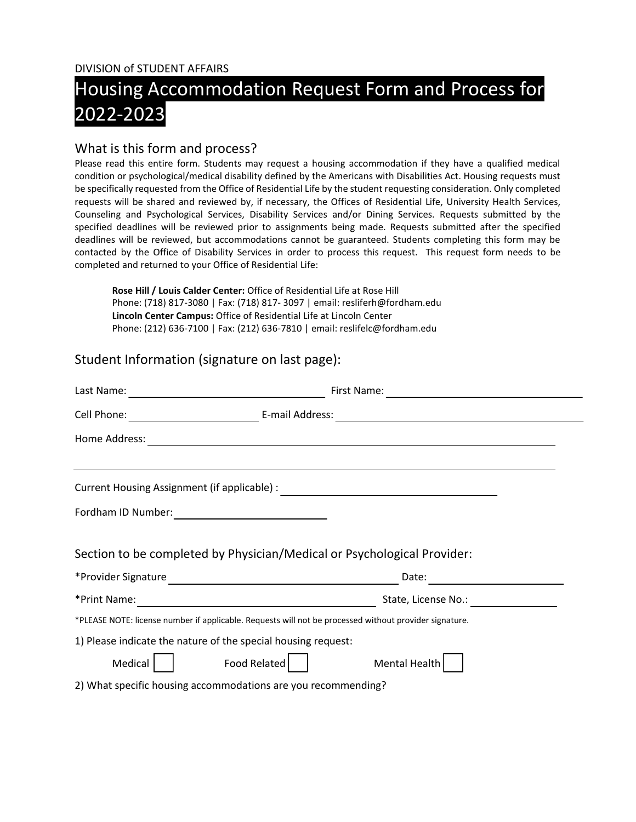DIVISION of STUDENT AFFAIRS

# Housing Accommodation Request Form and Process for 2022-2023

#### What is this form and process?

Please read this entire form. Students may request a housing accommodation if they have a qualified medical condition or psychological/medical disability defined by the Americans with Disabilities Act. Housing requests must be specifically requested from the Office of Residential Life by the student requesting consideration. Only completed requests will be shared and reviewed by, if necessary, the Offices of Residential Life, University Health Services, Counseling and Psychological Services, Disability Services and/or Dining Services. Requests submitted by the specified deadlines will be reviewed prior to assignments being made. Requests submitted after the specified deadlines will be reviewed, but accommodations cannot be guaranteed. Students completing this form may be contacted by the Office of Disability Services in order to process this request. This request form needs to be completed and returned to your Office of Residential Life:

**Rose Hill / Louis Calder Center:** Office of Residential Life at Rose Hill Phone: (718) 817-3080 | Fax: (718) 817- 3097 | email: resliferh@fordham.edu **Lincoln Center Campus:** Office of Residential Life at Lincoln Center Phone: (212) 636-7100 | Fax: (212) 636-7810 | email: reslifelc@fordham.edu

### Student Information (signature on last page):

| Last Name:    | First Name:<br><u> 1989 - Johann Barbara, martxa amerikan per</u><br><u> 1980 - Andrea Andrew Maria (h. 1980).</u>                                                                                                             |  |
|---------------|--------------------------------------------------------------------------------------------------------------------------------------------------------------------------------------------------------------------------------|--|
|               |                                                                                                                                                                                                                                |  |
| Home Address: |                                                                                                                                                                                                                                |  |
|               | Current Housing Assignment (if applicable) : \\efficient \\efficient \\efficient \\efficient \\efficient \\efficient \\efficient \\efficient \\efficient \\efficient \\efficient \\efficient \\efficient \\efficient \\efficie |  |
|               |                                                                                                                                                                                                                                |  |
|               | Section to be completed by Physician/Medical or Psychological Provider:<br>Date:                                                                                                                                               |  |
| *Print Name:  | <u> 1980 - Johann Barn, mars ann an t-Amhain Aonaich an t-Aonaich an t-Aonaich ann an t-Aonaich ann an t-Aonaich</u>                                                                                                           |  |
|               | *PLEASE NOTE: license number if applicable. Requests will not be processed without provider signature.                                                                                                                         |  |
|               | 1) Please indicate the nature of the special housing request:                                                                                                                                                                  |  |
| Medical       | Food Related<br>Mental Health                                                                                                                                                                                                  |  |
|               | 2) What specific housing accommodations are you recommending?                                                                                                                                                                  |  |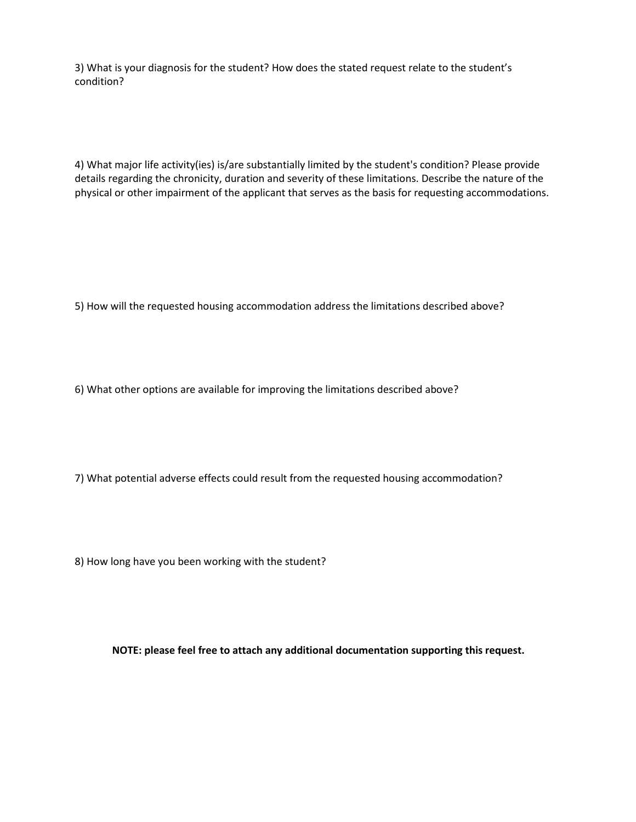3) What is your diagnosis for the student? How does the stated request relate to the student's condition?

4) What major life activity(ies) is/are substantially limited by the student's condition? Please provide details regarding the chronicity, duration and severity of these limitations. Describe the nature of the physical or other impairment of the applicant that serves as the basis for requesting accommodations.

5) How will the requested housing accommodation address the limitations described above?

6) What other options are available for improving the limitations described above?

7) What potential adverse effects could result from the requested housing accommodation?

8) How long have you been working with the student?

**NOTE: please feel free to attach any additional documentation supporting this request.**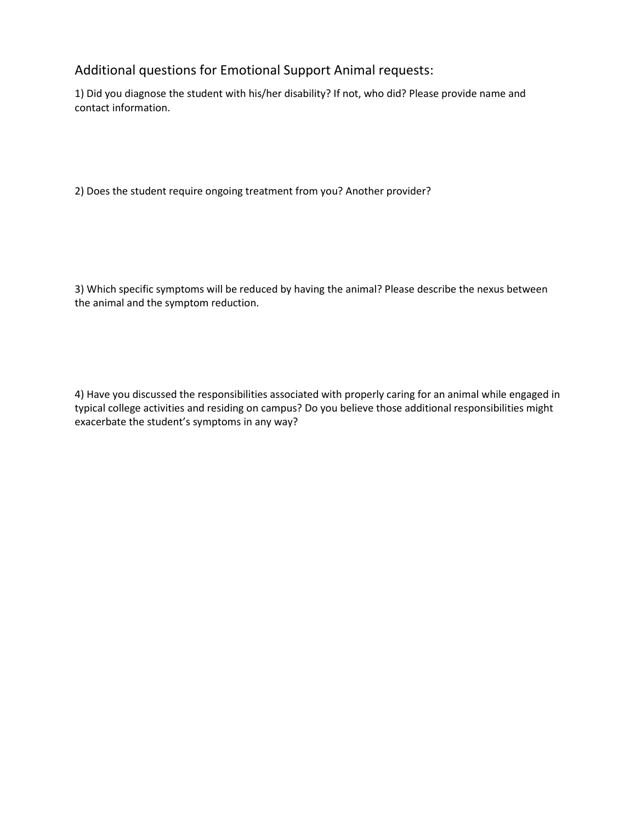## Additional questions for Emotional Support Animal requests:

1) Did you diagnose the student with his/her disability? If not, who did? Please provide name and contact information.

2) Does the student require ongoing treatment from you? Another provider?

3) Which specific symptoms will be reduced by having the animal? Please describe the nexus between the animal and the symptom reduction.

4) Have you discussed the responsibilities associated with properly caring for an animal while engaged in typical college activities and residing on campus? Do you believe those additional responsibilities might exacerbate the student's symptoms in any way?